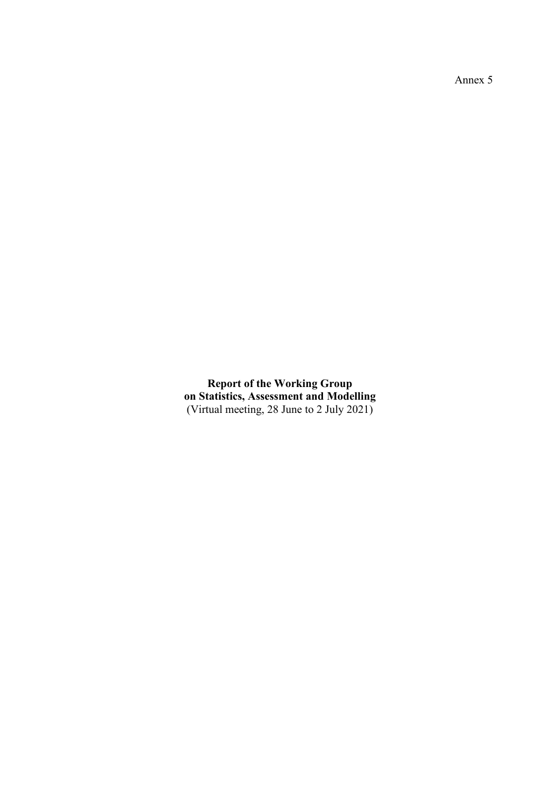Annex 5

**Report of the Working Group on Statistics, Assessment and Modelling** (Virtual meeting, 28 June to 2 July 2021)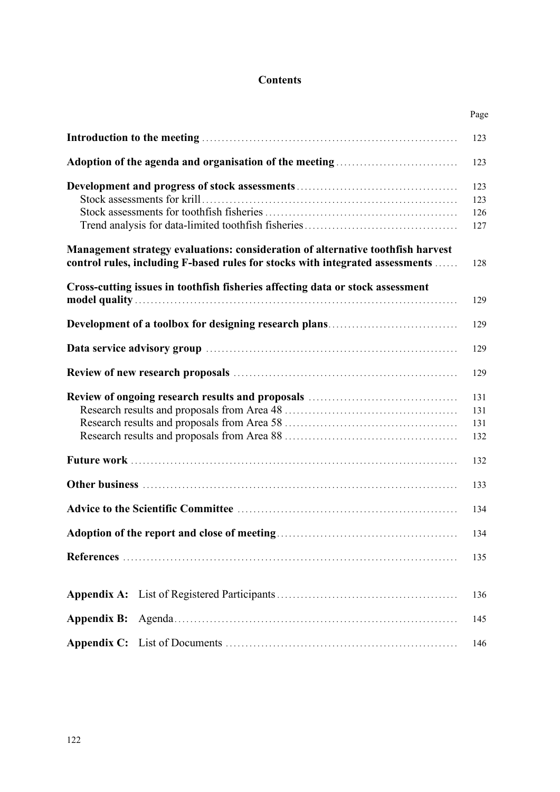## **Contents**

|                                                                                                                                                                  | Page |
|------------------------------------------------------------------------------------------------------------------------------------------------------------------|------|
|                                                                                                                                                                  | 123  |
|                                                                                                                                                                  | 123  |
|                                                                                                                                                                  | 123  |
|                                                                                                                                                                  | 123  |
|                                                                                                                                                                  | 126  |
|                                                                                                                                                                  | 127  |
| Management strategy evaluations: consideration of alternative toothfish harvest<br>control rules, including F-based rules for stocks with integrated assessments | 128  |
| Cross-cutting issues in toothfish fisheries affecting data or stock assessment                                                                                   | 129  |
|                                                                                                                                                                  |      |
|                                                                                                                                                                  | 129  |
|                                                                                                                                                                  | 129  |
|                                                                                                                                                                  | 129  |
|                                                                                                                                                                  | 131  |
|                                                                                                                                                                  | 131  |
|                                                                                                                                                                  | 131  |
|                                                                                                                                                                  | 132  |
|                                                                                                                                                                  | 132  |
|                                                                                                                                                                  | 133  |
|                                                                                                                                                                  | 134  |
|                                                                                                                                                                  | 134  |
|                                                                                                                                                                  | 135  |
|                                                                                                                                                                  | 136  |
| <b>Appendix B:</b>                                                                                                                                               | 145  |
|                                                                                                                                                                  | 146  |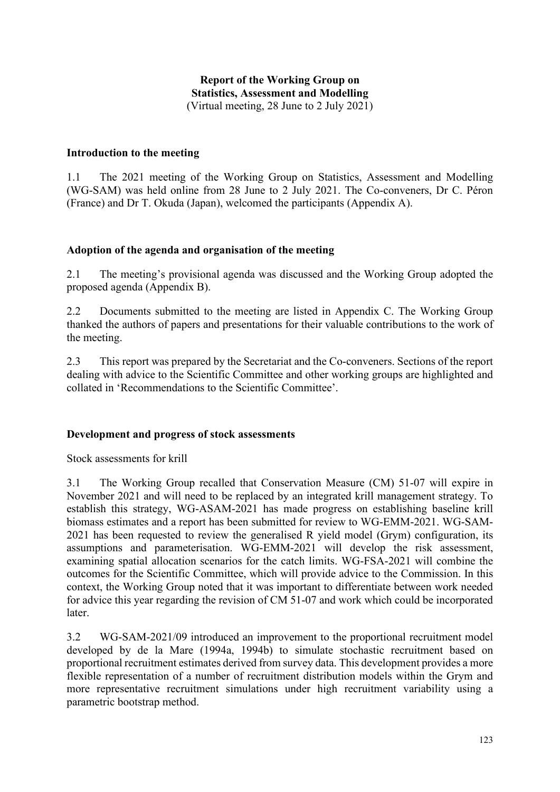## **Report of the Working Group on Statistics, Assessment and Modelling** (Virtual meeting, 28 June to 2 July 2021)

#### <span id="page-2-0"></span>**Introduction to the meeting**

1.1 The 2021 meeting of the Working Group on Statistics, Assessment and Modelling (WG-SAM) was held online from 28 June to 2 July 2021. The Co-conveners, Dr C. Péron (France) and Dr T. Okuda (Japan), welcomed the participants (Appendix A).

#### **Adoption of the agenda and organisation of the meeting**

2.1 The meeting's provisional agenda was discussed and the Working Group adopted the proposed agenda (Appendix B).

2.2 Documents submitted to the meeting are listed in Appendix C. The Working Group thanked the authors of papers and presentations for their valuable contributions to the work of the meeting.

2.3 This report was prepared by the Secretariat and the Co-conveners. Sections of the report dealing with advice to the Scientific Committee and other working groups are highlighted and collated in 'Recommendations to the Scientific Committee'.

#### **Development and progress of stock assessments**

Stock assessments for krill

3.1 The Working Group recalled that Conservation Measure (CM) 51-07 will expire in November 2021 and will need to be replaced by an integrated krill management strategy. To establish this strategy, WG-ASAM-2021 has made progress on establishing baseline krill biomass estimates and a report has been submitted for review to WG-EMM-2021. WG-SAM-2021 has been requested to review the generalised R yield model (Grym) configuration, its assumptions and parameterisation. WG-EMM-2021 will develop the risk assessment, examining spatial allocation scenarios for the catch limits. WG-FSA-2021 will combine the outcomes for the Scientific Committee, which will provide advice to the Commission. In this context, the Working Group noted that it was important to differentiate between work needed for advice this year regarding the revision of CM 51-07 and work which could be incorporated later.

3.2 WG-SAM-2021/09 introduced an improvement to the proportional recruitment model developed by de la Mare (1994a, 1994b) to simulate stochastic recruitment based on proportional recruitment estimates derived from survey data. This development provides a more flexible representation of a number of recruitment distribution models within the Grym and more representative recruitment simulations under high recruitment variability using a parametric bootstrap method.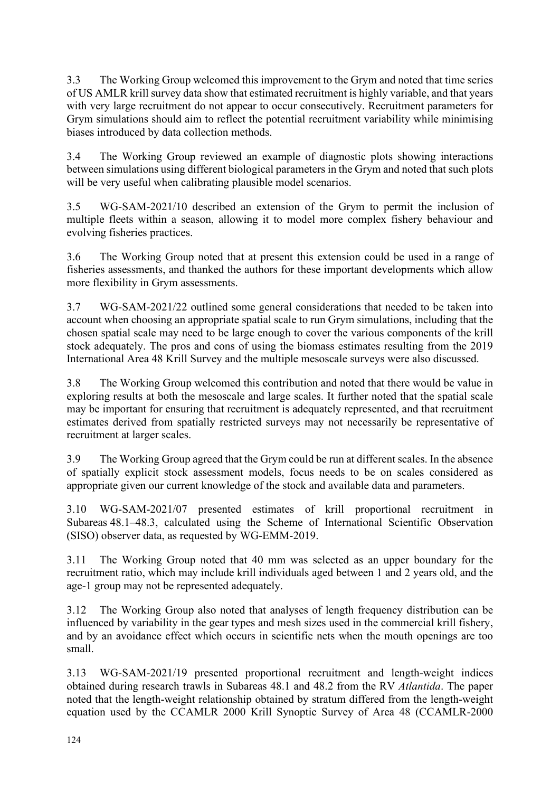3.3 The Working Group welcomed this improvement to the Grym and noted that time series of US AMLR krill survey data show that estimated recruitment is highly variable, and that years with very large recruitment do not appear to occur consecutively. Recruitment parameters for Grym simulations should aim to reflect the potential recruitment variability while minimising biases introduced by data collection methods.

3.4 The Working Group reviewed an example of diagnostic plots showing interactions between simulations using different biological parameters in the Grym and noted that such plots will be very useful when calibrating plausible model scenarios.

3.5 WG-SAM-2021/10 described an extension of the Grym to permit the inclusion of multiple fleets within a season, allowing it to model more complex fishery behaviour and evolving fisheries practices.

3.6 The Working Group noted that at present this extension could be used in a range of fisheries assessments, and thanked the authors for these important developments which allow more flexibility in Grym assessments.

3.7 WG-SAM-2021/22 outlined some general considerations that needed to be taken into account when choosing an appropriate spatial scale to run Grym simulations, including that the chosen spatial scale may need to be large enough to cover the various components of the krill stock adequately. The pros and cons of using the biomass estimates resulting from the 2019 International Area 48 Krill Survey and the multiple mesoscale surveys were also discussed.

3.8 The Working Group welcomed this contribution and noted that there would be value in exploring results at both the mesoscale and large scales. It further noted that the spatial scale may be important for ensuring that recruitment is adequately represented, and that recruitment estimates derived from spatially restricted surveys may not necessarily be representative of recruitment at larger scales.

3.9 The Working Group agreed that the Grym could be run at different scales. In the absence of spatially explicit stock assessment models, focus needs to be on scales considered as appropriate given our current knowledge of the stock and available data and parameters.

3.10 WG-SAM-2021/07 presented estimates of krill proportional recruitment in Subareas 48.1–48.3, calculated using the Scheme of International Scientific Observation (SISO) observer data, as requested by WG-EMM-2019.

3.11 The Working Group noted that 40 mm was selected as an upper boundary for the recruitment ratio, which may include krill individuals aged between 1 and 2 years old, and the age-1 group may not be represented adequately.

3.12 The Working Group also noted that analyses of length frequency distribution can be influenced by variability in the gear types and mesh sizes used in the commercial krill fishery, and by an avoidance effect which occurs in scientific nets when the mouth openings are too small.

3.13 WG-SAM-2021/19 presented proportional recruitment and length-weight indices obtained during research trawls in Subareas 48.1 and 48.2 from the RV *Atlantida*. The paper noted that the length-weight relationship obtained by stratum differed from the length-weight equation used by the CCAMLR 2000 Krill Synoptic Survey of Area 48 (CCAMLR-2000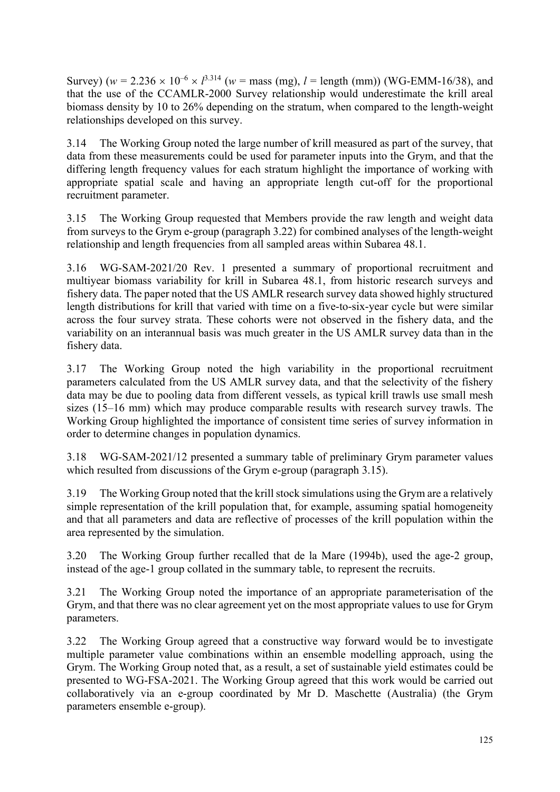Survey) ( $w = 2.236 \times 10^{-6} \times l^{3.314}$  ( $w = \text{mass (mg)}$ ,  $l = \text{length (mm)}$ ) (WG-EMM-16/38), and that the use of the CCAMLR-2000 Survey relationship would underestimate the krill areal biomass density by 10 to 26% depending on the stratum, when compared to the length-weight relationships developed on this survey.

3.14 The Working Group noted the large number of krill measured as part of the survey, that data from these measurements could be used for parameter inputs into the Grym, and that the differing length frequency values for each stratum highlight the importance of working with appropriate spatial scale and having an appropriate length cut-off for the proportional recruitment parameter.

3.15 The Working Group requested that Members provide the raw length and weight data from surveys to the Grym e-group (paragraph 3.22) for combined analyses of the length-weight relationship and length frequencies from all sampled areas within Subarea 48.1.

3.16 WG-SAM-2021/20 Rev. 1 presented a summary of proportional recruitment and multiyear biomass variability for krill in Subarea 48.1, from historic research surveys and fishery data. The paper noted that the US AMLR research survey data showed highly structured length distributions for krill that varied with time on a five-to-six-year cycle but were similar across the four survey strata. These cohorts were not observed in the fishery data, and the variability on an interannual basis was much greater in the US AMLR survey data than in the fishery data.

3.17 The Working Group noted the high variability in the proportional recruitment parameters calculated from the US AMLR survey data, and that the selectivity of the fishery data may be due to pooling data from different vessels, as typical krill trawls use small mesh sizes (15–16 mm) which may produce comparable results with research survey trawls. The Working Group highlighted the importance of consistent time series of survey information in order to determine changes in population dynamics.

3.18 WG-SAM-2021/12 presented a summary table of preliminary Grym parameter values which resulted from discussions of the Grym e-group (paragraph 3.15).

3.19 The Working Group noted that the krill stock simulations using the Grym are a relatively simple representation of the krill population that, for example, assuming spatial homogeneity and that all parameters and data are reflective of processes of the krill population within the area represented by the simulation.

3.20 The Working Group further recalled that de la Mare (1994b), used the age-2 group, instead of the age-1 group collated in the summary table, to represent the recruits.

3.21 The Working Group noted the importance of an appropriate parameterisation of the Grym, and that there was no clear agreement yet on the most appropriate values to use for Grym parameters.

3.22 The Working Group agreed that a constructive way forward would be to investigate multiple parameter value combinations within an ensemble modelling approach, using the Grym. The Working Group noted that, as a result, a set of sustainable yield estimates could be presented to WG-FSA-2021. The Working Group agreed that this work would be carried out collaboratively via an e-group coordinated by Mr D. Maschette (Australia) (the Grym parameters ensemble e-group).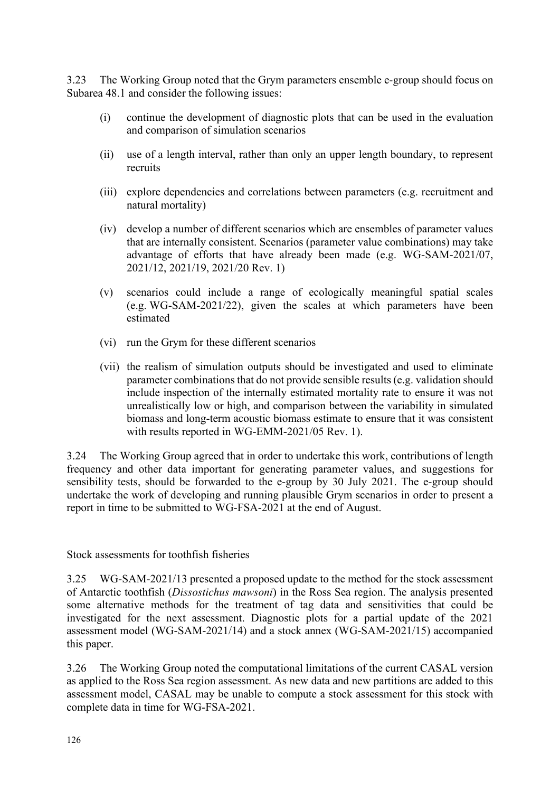<span id="page-5-0"></span>3.23 The Working Group noted that the Grym parameters ensemble e-group should focus on Subarea 48.1 and consider the following issues:

- (i) continue the development of diagnostic plots that can be used in the evaluation and comparison of simulation scenarios
- (ii) use of a length interval, rather than only an upper length boundary, to represent recruits
- (iii) explore dependencies and correlations between parameters (e.g. recruitment and natural mortality)
- (iv) develop a number of different scenarios which are ensembles of parameter values that are internally consistent. Scenarios (parameter value combinations) may take advantage of efforts that have already been made (e.g. WG-SAM-2021/07, 2021/12, 2021/19, 2021/20 Rev. 1)
- (v) scenarios could include a range of ecologically meaningful spatial scales (e.g. WG-SAM-2021/22), given the scales at which parameters have been estimated
- (vi) run the Grym for these different scenarios
- (vii) the realism of simulation outputs should be investigated and used to eliminate parameter combinations that do not provide sensible results (e.g. validation should include inspection of the internally estimated mortality rate to ensure it was not unrealistically low or high, and comparison between the variability in simulated biomass and long-term acoustic biomass estimate to ensure that it was consistent with results reported in WG-EMM-2021/05 Rev. 1).

3.24 The Working Group agreed that in order to undertake this work, contributions of length frequency and other data important for generating parameter values, and suggestions for sensibility tests, should be forwarded to the e-group by 30 July 2021. The e-group should undertake the work of developing and running plausible Grym scenarios in order to present a report in time to be submitted to WG-FSA-2021 at the end of August.

Stock assessments for toothfish fisheries

3.25 WG-SAM-2021/13 presented a proposed update to the method for the stock assessment of Antarctic toothfish (*Dissostichus mawsoni*) in the Ross Sea region. The analysis presented some alternative methods for the treatment of tag data and sensitivities that could be investigated for the next assessment. Diagnostic plots for a partial update of the 2021 assessment model (WG-SAM-2021/14) and a stock annex (WG-SAM-2021/15) accompanied this paper.

3.26 The Working Group noted the computational limitations of the current CASAL version as applied to the Ross Sea region assessment. As new data and new partitions are added to this assessment model, CASAL may be unable to compute a stock assessment for this stock with complete data in time for WG-FSA-2021.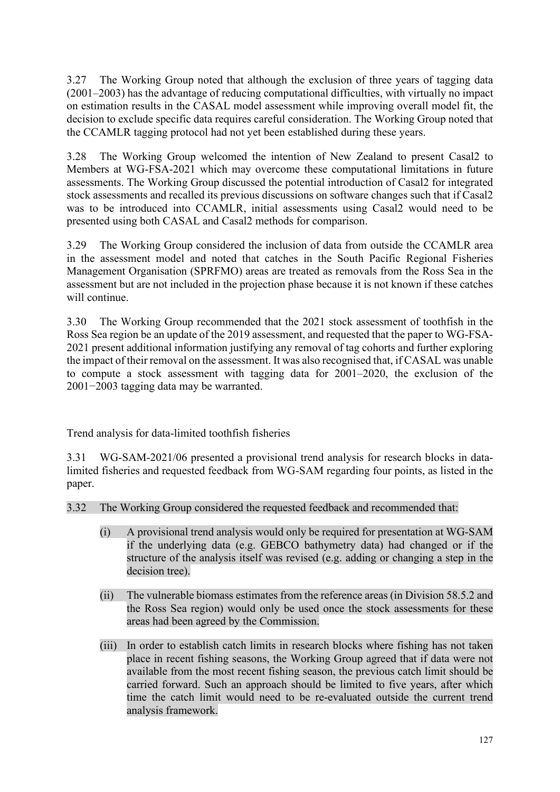<span id="page-6-0"></span>3.27 The Working Group noted that although the exclusion of three years of tagging data (2001–2003) has the advantage of reducing computational difficulties, with virtually no impact on estimation results in the CASAL model assessment while improving overall model fit, the decision to exclude specific data requires careful consideration. The Working Group noted that the CCAMLR tagging protocol had not yet been established during these years.

3.28 The Working Group welcomed the intention of New Zealand to present Casal2 to Members at WG-FSA-2021 which may overcome these computational limitations in future assessments. The Working Group discussed the potential introduction of Casal2 for integrated stock assessments and recalled its previous discussions on software changes such that if Casal2 was to be introduced into CCAMLR, initial assessments using Casal2 would need to be presented using both CASAL and Casal2 methods for comparison.

3.29 The Working Group considered the inclusion of data from outside the CCAMLR area in the assessment model and noted that catches in the South Pacific Regional Fisheries Management Organisation (SPRFMO) areas are treated as removals from the Ross Sea in the assessment but are not included in the projection phase because it is not known if these catches will continue.

3.30 The Working Group recommended that the 2021 stock assessment of toothfish in the Ross Sea region be an update of the 2019 assessment, and requested that the paper to WG-FSA-2021 present additional information justifying any removal of tag cohorts and further exploring the impact of their removal on the assessment. It was also recognised that, if CASAL was unable to compute a stock assessment with tagging data for 2001–2020, the exclusion of the 2001−2003 tagging data may be warranted.

Trend analysis for data-limited toothfish fisheries

3.31 WG-SAM-2021/06 presented a provisional trend analysis for research blocks in datalimited fisheries and requested feedback from WG-SAM regarding four points, as listed in the paper.

3.32 The Working Group considered the requested feedback and recommended that:

- (i) A provisional trend analysis would only be required for presentation at WG-SAM if the underlying data (e.g. GEBCO bathymetry data) had changed or if the structure of the analysis itself was revised (e.g. adding or changing a step in the decision tree).
- (ii) The vulnerable biomass estimates from the reference areas (in Division 58.5.2 and the Ross Sea region) would only be used once the stock assessments for these areas had been agreed by the Commission.
- (iii) In order to establish catch limits in research blocks where fishing has not taken place in recent fishing seasons, the Working Group agreed that if data were not available from the most recent fishing season, the previous catch limit should be carried forward. Such an approach should be limited to five years, after which time the catch limit would need to be re-evaluated outside the current trend analysis framework.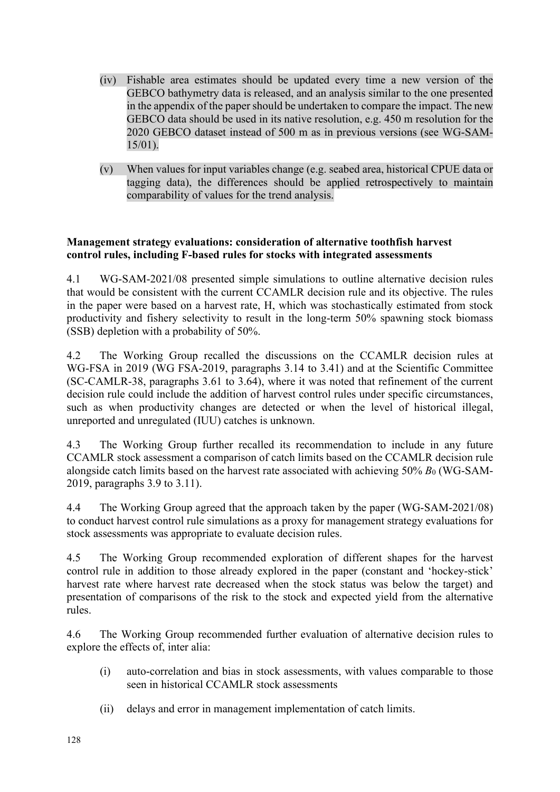- <span id="page-7-0"></span>(iv) Fishable area estimates should be updated every time a new version of the GEBCO bathymetry data is released, and an analysis similar to the one presented in the appendix of the paper should be undertaken to compare the impact. The new GEBCO data should be used in its native resolution, e.g. 450 m resolution for the 2020 GEBCO dataset instead of 500 m as in previous versions (see WG-SAM-15/01).
- (v) When values for input variables change (e.g. seabed area, historical CPUE data or tagging data), the differences should be applied retrospectively to maintain comparability of values for the trend analysis.

## **Management strategy evaluations: consideration of alternative toothfish harvest control rules, including F-based rules for stocks with integrated assessments**

4.1 WG-SAM-2021/08 presented simple simulations to outline alternative decision rules that would be consistent with the current CCAMLR decision rule and its objective. The rules in the paper were based on a harvest rate, H, which was stochastically estimated from stock productivity and fishery selectivity to result in the long-term 50% spawning stock biomass (SSB) depletion with a probability of 50%.

4.2 The Working Group recalled the discussions on the CCAMLR decision rules at WG-FSA in 2019 (WG FSA-2019, paragraphs 3.14 to 3.41) and at the Scientific Committee (SC-CAMLR-38, paragraphs 3.61 to 3.64), where it was noted that refinement of the current decision rule could include the addition of harvest control rules under specific circumstances, such as when productivity changes are detected or when the level of historical illegal, unreported and unregulated (IUU) catches is unknown.

4.3 The Working Group further recalled its recommendation to include in any future CCAMLR stock assessment a comparison of catch limits based on the CCAMLR decision rule alongside catch limits based on the harvest rate associated with achieving 50% *B*<sup>0</sup> (WG-SAM-2019, paragraphs 3.9 to 3.11).

4.4 The Working Group agreed that the approach taken by the paper (WG-SAM-2021/08) to conduct harvest control rule simulations as a proxy for management strategy evaluations for stock assessments was appropriate to evaluate decision rules.

4.5 The Working Group recommended exploration of different shapes for the harvest control rule in addition to those already explored in the paper (constant and 'hockey-stick' harvest rate where harvest rate decreased when the stock status was below the target) and presentation of comparisons of the risk to the stock and expected yield from the alternative rules.

4.6 The Working Group recommended further evaluation of alternative decision rules to explore the effects of, inter alia:

- (i) auto-correlation and bias in stock assessments, with values comparable to those seen in historical CCAMLR stock assessments
- (ii) delays and error in management implementation of catch limits.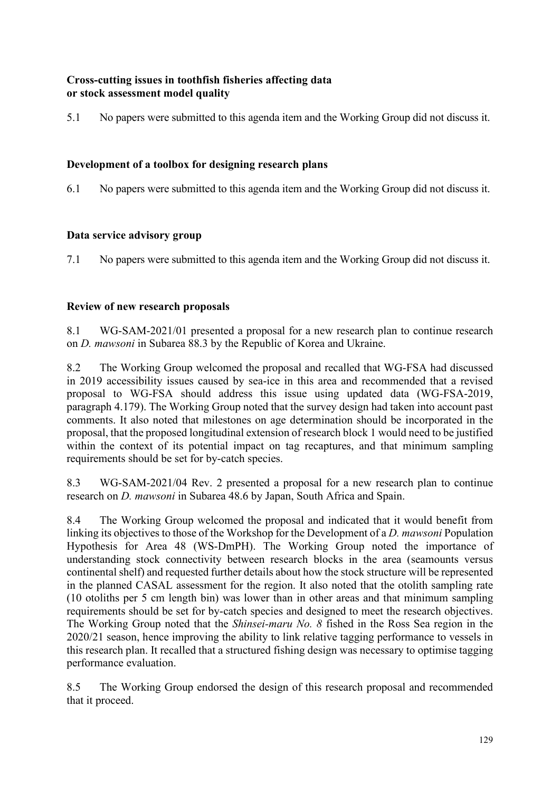## <span id="page-8-0"></span>**Cross-cutting issues in toothfish fisheries affecting data or stock assessment model quality**

5.1 No papers were submitted to this agenda item and the Working Group did not discuss it.

## **Development of a toolbox for designing research plans**

6.1 No papers were submitted to this agenda item and the Working Group did not discuss it.

## **Data service advisory group**

7.1 No papers were submitted to this agenda item and the Working Group did not discuss it.

## **Review of new research proposals**

8.1 WG-SAM-2021/01 presented a proposal for a new research plan to continue research on *D. mawsoni* in Subarea 88.3 by the Republic of Korea and Ukraine.

8.2 The Working Group welcomed the proposal and recalled that WG-FSA had discussed in 2019 accessibility issues caused by sea-ice in this area and recommended that a revised proposal to WG-FSA should address this issue using updated data (WG-FSA-2019, paragraph 4.179). The Working Group noted that the survey design had taken into account past comments. It also noted that milestones on age determination should be incorporated in the proposal, that the proposed longitudinal extension of research block 1 would need to be justified within the context of its potential impact on tag recaptures, and that minimum sampling requirements should be set for by-catch species.

8.3 WG-SAM-2021/04 Rev. 2 presented a proposal for a new research plan to continue research on *D. mawsoni* in Subarea 48.6 by Japan, South Africa and Spain.

8.4 The Working Group welcomed the proposal and indicated that it would benefit from linking its objectives to those of the Workshop for the Development of a *D. mawsoni* Population Hypothesis for Area 48 (WS-DmPH). The Working Group noted the importance of understanding stock connectivity between research blocks in the area (seamounts versus continental shelf) and requested further details about how the stock structure will be represented in the planned CASAL assessment for the region. It also noted that the otolith sampling rate (10 otoliths per 5 cm length bin) was lower than in other areas and that minimum sampling requirements should be set for by-catch species and designed to meet the research objectives. The Working Group noted that the *Shinsei-maru No. 8* fished in the Ross Sea region in the 2020/21 season, hence improving the ability to link relative tagging performance to vessels in this research plan. It recalled that a structured fishing design was necessary to optimise tagging performance evaluation.

8.5 The Working Group endorsed the design of this research proposal and recommended that it proceed.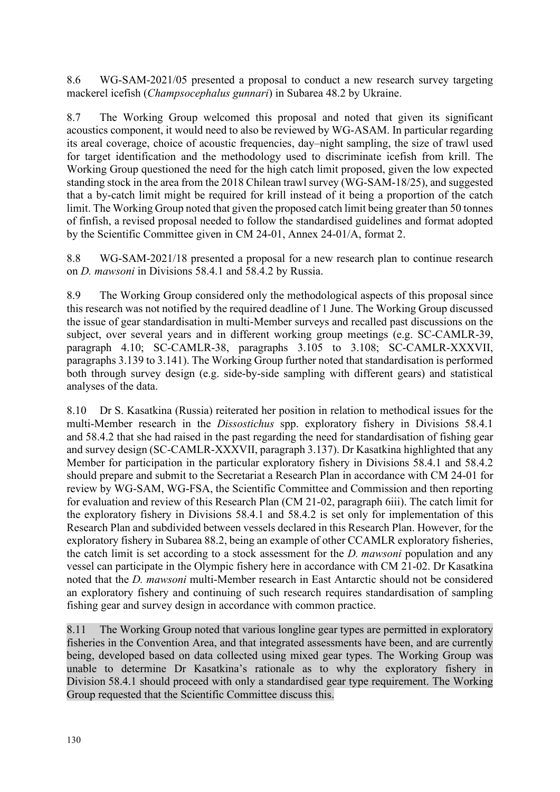8.6 WG-SAM-2021/05 presented a proposal to conduct a new research survey targeting mackerel icefish (*Champsocephalus gunnari*) in Subarea 48.2 by Ukraine.

8.7 The Working Group welcomed this proposal and noted that given its significant acoustics component, it would need to also be reviewed by WG-ASAM. In particular regarding its areal coverage, choice of acoustic frequencies, day–night sampling, the size of trawl used for target identification and the methodology used to discriminate icefish from krill. The Working Group questioned the need for the high catch limit proposed, given the low expected standing stock in the area from the 2018 Chilean trawl survey (WG-SAM-18/25), and suggested that a by-catch limit might be required for krill instead of it being a proportion of the catch limit. The Working Group noted that given the proposed catch limit being greater than 50 tonnes of finfish, a revised proposal needed to follow the standardised guidelines and format adopted by the Scientific Committee given in CM 24-01, Annex 24-01/A, format 2.

8.8 WG-SAM-2021/18 presented a proposal for a new research plan to continue research on *D. mawsoni* in Divisions 58.4.1 and 58.4.2 by Russia.

8.9 The Working Group considered only the methodological aspects of this proposal since this research was not notified by the required deadline of 1 June. The Working Group discussed the issue of gear standardisation in multi-Member surveys and recalled past discussions on the subject, over several years and in different working group meetings (e.g. SC-CAMLR-39, paragraph 4.10; SC-CAMLR-38, paragraphs 3.105 to 3.108; SC-CAMLR-XXXVII, paragraphs 3.139 to 3.141). The Working Group further noted that standardisation is performed both through survey design (e.g. side-by-side sampling with different gears) and statistical analyses of the data.

8.10 Dr S. Kasatkina (Russia) reiterated her position in relation to methodical issues for the multi-Member research in the *Dissostichus* spp. exploratory fishery in Divisions 58.4.1 and 58.4.2 that she had raised in the past regarding the need for standardisation of fishing gear and survey design (SC-CAMLR-XXXVII, paragraph 3.137). Dr Kasatkina highlighted that any Member for participation in the particular exploratory fishery in Divisions 58.4.1 and 58.4.2 should prepare and submit to the Secretariat a Research Plan in accordance with CM 24-01 for review by WG-SAM, WG-FSA, the Scientific Committee and Commission and then reporting for evaluation and review of this Research Plan (CM 21-02, paragraph 6iii). The catch limit for the exploratory fishery in Divisions 58.4.1 and 58.4.2 is set only for implementation of this Research Plan and subdivided between vessels declared in this Research Plan. However, for the exploratory fishery in Subarea 88.2, being an example of other CCAMLR exploratory fisheries, the catch limit is set according to a stock assessment for the *D. mawsoni* population and any vessel can participate in the Olympic fishery here in accordance with CM 21-02. Dr Kasatkina noted that the *D. mawsoni* multi-Member research in East Antarctic should not be considered an exploratory fishery and continuing of such research requires standardisation of sampling fishing gear and survey design in accordance with common practice.

8.11 The Working Group noted that various longline gear types are permitted in exploratory fisheries in the Convention Area, and that integrated assessments have been, and are currently being, developed based on data collected using mixed gear types. The Working Group was unable to determine Dr Kasatkina's rationale as to why the exploratory fishery in Division 58.4.1 should proceed with only a standardised gear type requirement. The Working Group requested that the Scientific Committee discuss this.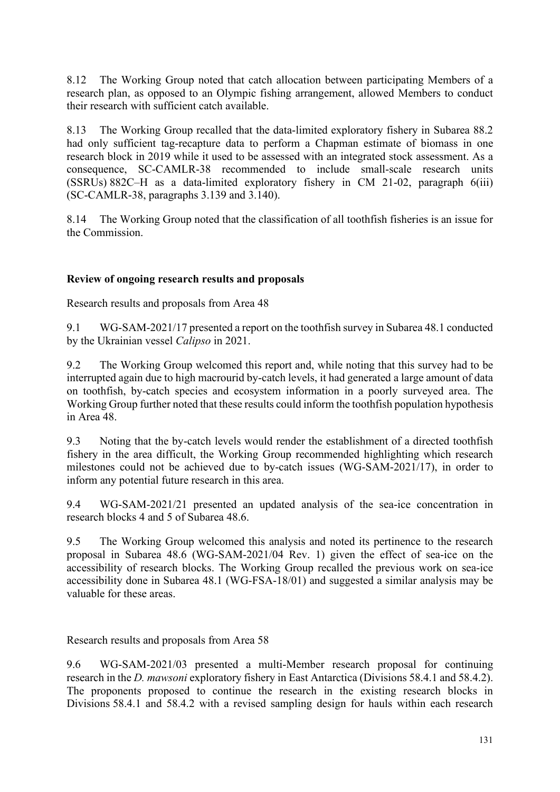<span id="page-10-0"></span>8.12 The Working Group noted that catch allocation between participating Members of a research plan, as opposed to an Olympic fishing arrangement, allowed Members to conduct their research with sufficient catch available.

8.13 The Working Group recalled that the data-limited exploratory fishery in Subarea 88.2 had only sufficient tag-recapture data to perform a Chapman estimate of biomass in one research block in 2019 while it used to be assessed with an integrated stock assessment. As a consequence, SC-CAMLR-38 recommended to include small-scale research units (SSRUs) 882C–H as a data-limited exploratory fishery in CM 21-02, paragraph 6(iii) (SC-CAMLR-38, paragraphs 3.139 and 3.140).

8.14 The Working Group noted that the classification of all toothfish fisheries is an issue for the Commission.

## **Review of ongoing research results and proposals**

Research results and proposals from Area 48

9.1 WG-SAM-2021/17 presented a report on the toothfish survey in Subarea 48.1 conducted by the Ukrainian vessel *Calipso* in 2021.

9.2 The Working Group welcomed this report and, while noting that this survey had to be interrupted again due to high macrourid by-catch levels, it had generated a large amount of data on toothfish, by-catch species and ecosystem information in a poorly surveyed area. The Working Group further noted that these results could inform the toothfish population hypothesis in Area 48.

9.3 Noting that the by-catch levels would render the establishment of a directed toothfish fishery in the area difficult, the Working Group recommended highlighting which research milestones could not be achieved due to by-catch issues (WG-SAM-2021/17), in order to inform any potential future research in this area.

9.4 WG-SAM-2021/21 presented an updated analysis of the sea-ice concentration in research blocks 4 and 5 of Subarea 48.6.

9.5 The Working Group welcomed this analysis and noted its pertinence to the research proposal in Subarea 48.6 (WG-SAM-2021/04 Rev. 1) given the effect of sea-ice on the accessibility of research blocks. The Working Group recalled the previous work on sea-ice accessibility done in Subarea 48.1 (WG-FSA-18/01) and suggested a similar analysis may be valuable for these areas.

Research results and proposals from Area 58

9.6 WG-SAM-2021/03 presented a multi-Member research proposal for continuing research in the *D. mawsoni* exploratory fishery in East Antarctica (Divisions 58.4.1 and 58.4.2). The proponents proposed to continue the research in the existing research blocks in Divisions 58.4.1 and 58.4.2 with a revised sampling design for hauls within each research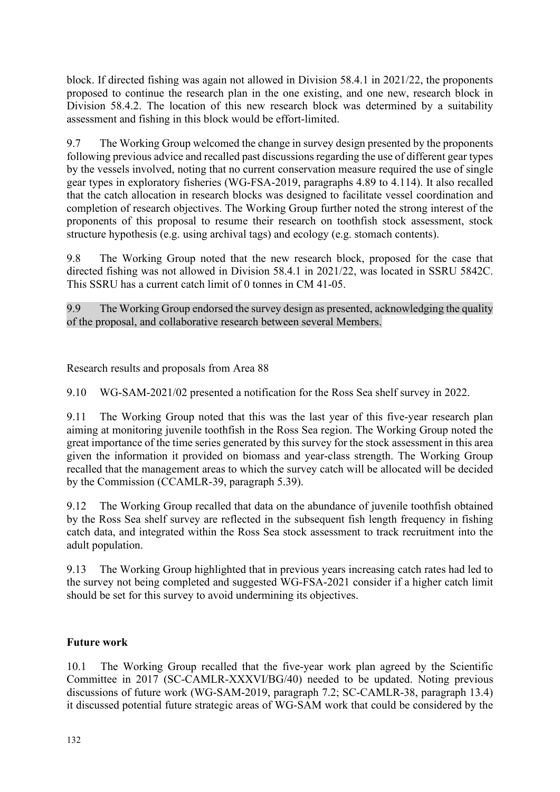<span id="page-11-0"></span>block. If directed fishing was again not allowed in Division 58.4.1 in 2021/22, the proponents proposed to continue the research plan in the one existing, and one new, research block in Division 58.4.2. The location of this new research block was determined by a suitability assessment and fishing in this block would be effort-limited.

9.7 The Working Group welcomed the change in survey design presented by the proponents following previous advice and recalled past discussions regarding the use of different gear types by the vessels involved, noting that no current conservation measure required the use of single gear types in exploratory fisheries (WG-FSA-2019, paragraphs 4.89 to 4.114). It also recalled that the catch allocation in research blocks was designed to facilitate vessel coordination and completion of research objectives. The Working Group further noted the strong interest of the proponents of this proposal to resume their research on toothfish stock assessment, stock structure hypothesis (e.g. using archival tags) and ecology (e.g. stomach contents).

9.8 The Working Group noted that the new research block, proposed for the case that directed fishing was not allowed in Division 58.4.1 in 2021/22, was located in SSRU 5842C. This SSRU has a current catch limit of 0 tonnes in CM 41-05.

9.9 The Working Group endorsed the survey design as presented, acknowledging the quality of the proposal, and collaborative research between several Members.

Research results and proposals from Area 88

9.10 WG-SAM-2021/02 presented a notification for the Ross Sea shelf survey in 2022.

9.11 The Working Group noted that this was the last year of this five-year research plan aiming at monitoring juvenile toothfish in the Ross Sea region. The Working Group noted the great importance of the time series generated by this survey for the stock assessment in this area given the information it provided on biomass and year-class strength. The Working Group recalled that the management areas to which the survey catch will be allocated will be decided by the Commission (CCAMLR-39, paragraph 5.39).

9.12 The Working Group recalled that data on the abundance of juvenile toothfish obtained by the Ross Sea shelf survey are reflected in the subsequent fish length frequency in fishing catch data, and integrated within the Ross Sea stock assessment to track recruitment into the adult population.

9.13 The Working Group highlighted that in previous years increasing catch rates had led to the survey not being completed and suggested WG-FSA-2021 consider if a higher catch limit should be set for this survey to avoid undermining its objectives.

## **Future work**

10.1 The Working Group recalled that the five-year work plan agreed by the Scientific Committee in 2017 (SC-CAMLR-XXXVI/BG/40) needed to be updated. Noting previous discussions of future work (WG-SAM-2019, paragraph 7.2; SC-CAMLR-38, paragraph 13.4) it discussed potential future strategic areas of WG-SAM work that could be considered by the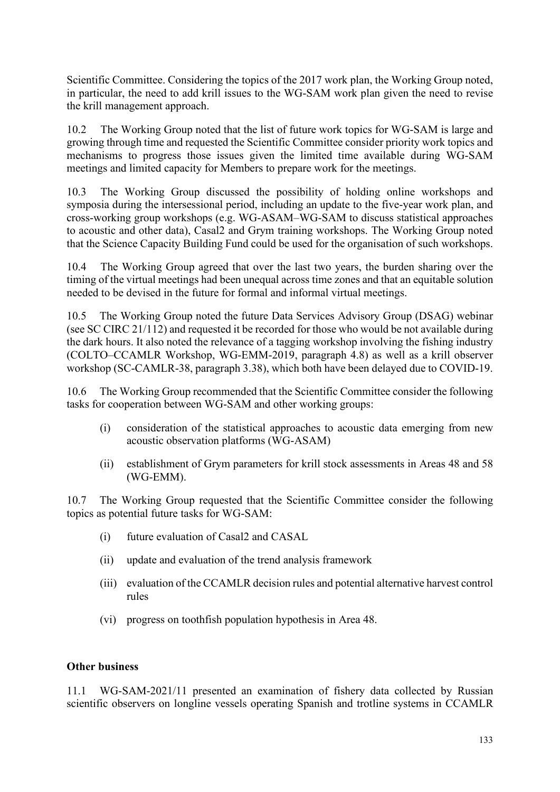<span id="page-12-0"></span>Scientific Committee. Considering the topics of the 2017 work plan, the Working Group noted, in particular, the need to add krill issues to the WG-SAM work plan given the need to revise the krill management approach.

10.2 The Working Group noted that the list of future work topics for WG-SAM is large and growing through time and requested the Scientific Committee consider priority work topics and mechanisms to progress those issues given the limited time available during WG-SAM meetings and limited capacity for Members to prepare work for the meetings.

10.3 The Working Group discussed the possibility of holding online workshops and symposia during the intersessional period, including an update to the five-year work plan, and cross-working group workshops (e.g. WG-ASAM–WG-SAM to discuss statistical approaches to acoustic and other data), Casal2 and Grym training workshops. The Working Group noted that the Science Capacity Building Fund could be used for the organisation of such workshops.

10.4 The Working Group agreed that over the last two years, the burden sharing over the timing of the virtual meetings had been unequal across time zones and that an equitable solution needed to be devised in the future for formal and informal virtual meetings.

10.5 The Working Group noted the future Data Services Advisory Group (DSAG) webinar (see SC CIRC 21/112) and requested it be recorded for those who would be not available during the dark hours. It also noted the relevance of a tagging workshop involving the fishing industry (COLTO–CCAMLR Workshop, WG-EMM-2019, paragraph 4.8) as well as a krill observer workshop (SC-CAMLR-38, paragraph 3.38), which both have been delayed due to COVID-19.

10.6 The Working Group recommended that the Scientific Committee consider the following tasks for cooperation between WG-SAM and other working groups:

- (i) consideration of the statistical approaches to acoustic data emerging from new acoustic observation platforms (WG-ASAM)
- (ii) establishment of Grym parameters for krill stock assessments in Areas 48 and 58 (WG-EMM).

10.7 The Working Group requested that the Scientific Committee consider the following topics as potential future tasks for WG-SAM:

- (i) future evaluation of Casal2 and CASAL
- (ii) update and evaluation of the trend analysis framework
- (iii) evaluation of the CCAMLR decision rules and potential alternative harvest control rules
- (vi) progress on toothfish population hypothesis in Area 48.

#### **Other business**

11.1 WG-SAM-2021/11 presented an examination of fishery data collected by Russian scientific observers on longline vessels operating Spanish and trotline systems in CCAMLR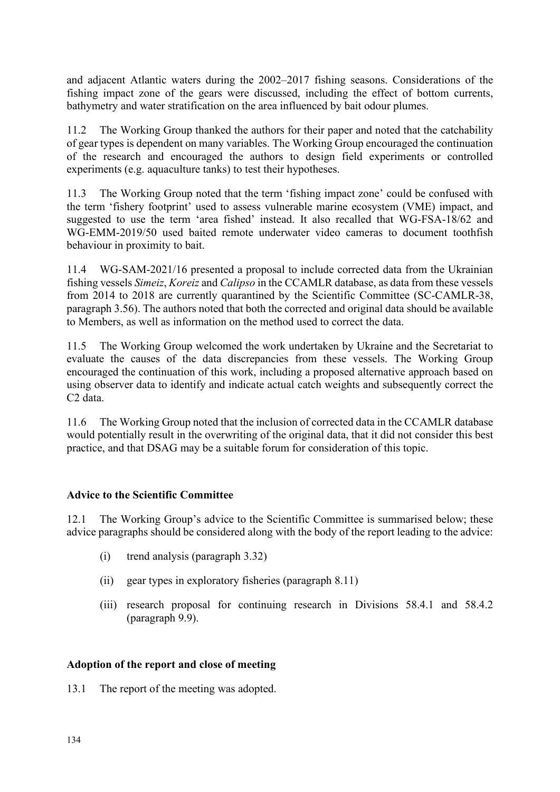<span id="page-13-0"></span>and adjacent Atlantic waters during the 2002–2017 fishing seasons. Considerations of the fishing impact zone of the gears were discussed, including the effect of bottom currents, bathymetry and water stratification on the area influenced by bait odour plumes.

11.2 The Working Group thanked the authors for their paper and noted that the catchability of gear types is dependent on many variables. The Working Group encouraged the continuation of the research and encouraged the authors to design field experiments or controlled experiments (e.g. aquaculture tanks) to test their hypotheses.

11.3 The Working Group noted that the term 'fishing impact zone' could be confused with the term 'fishery footprint' used to assess vulnerable marine ecosystem (VME) impact, and suggested to use the term 'area fished' instead. It also recalled that WG-FSA-18/62 and WG-EMM-2019/50 used baited remote underwater video cameras to document toothfish behaviour in proximity to bait.

11.4 WG-SAM-2021/16 presented a proposal to include corrected data from the Ukrainian fishing vessels *Simeiz*, *Koreiz* and *Calipso* in the CCAMLR database, as data from these vessels from 2014 to 2018 are currently quarantined by the Scientific Committee (SC-CAMLR-38, paragraph 3.56). The authors noted that both the corrected and original data should be available to Members, as well as information on the method used to correct the data.

11.5 The Working Group welcomed the work undertaken by Ukraine and the Secretariat to evaluate the causes of the data discrepancies from these vessels. The Working Group encouraged the continuation of this work, including a proposed alternative approach based on using observer data to identify and indicate actual catch weights and subsequently correct the C2 data.

11.6 The Working Group noted that the inclusion of corrected data in the CCAMLR database would potentially result in the overwriting of the original data, that it did not consider this best practice, and that DSAG may be a suitable forum for consideration of this topic.

## **Advice to the Scientific Committee**

12.1 The Working Group's advice to the Scientific Committee is summarised below; these advice paragraphs should be considered along with the body of the report leading to the advice:

- (i) trend analysis (paragraph 3.32)
- (ii) gear types in exploratory fisheries (paragraph 8.11)
- (iii) research proposal for continuing research in Divisions 58.4.1 and 58.4.2 (paragraph 9.9).

#### **Adoption of the report and close of meeting**

13.1 The report of the meeting was adopted.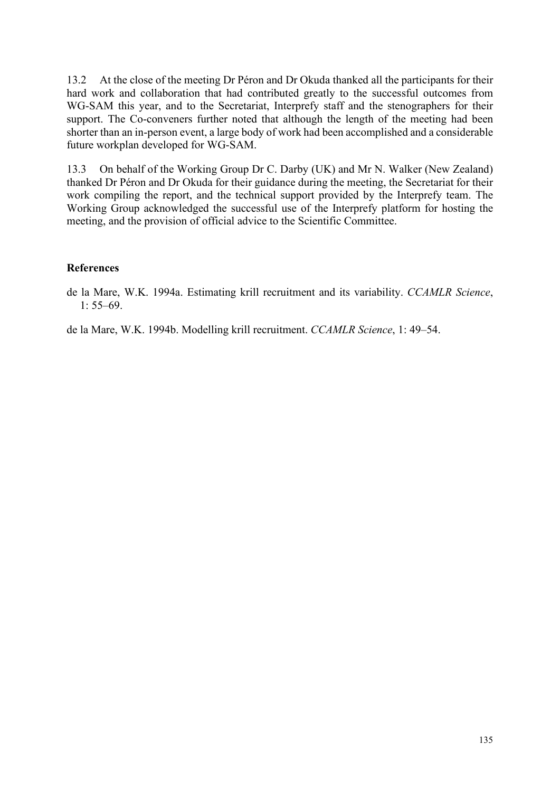<span id="page-14-0"></span>13.2 At the close of the meeting Dr Péron and Dr Okuda thanked all the participants for their hard work and collaboration that had contributed greatly to the successful outcomes from WG-SAM this year, and to the Secretariat, Interprefy staff and the stenographers for their support. The Co-conveners further noted that although the length of the meeting had been shorter than an in-person event, a large body of work had been accomplished and a considerable future workplan developed for WG-SAM.

13.3 On behalf of the Working Group Dr C. Darby (UK) and Mr N. Walker (New Zealand) thanked Dr Péron and Dr Okuda for their guidance during the meeting, the Secretariat for their work compiling the report, and the technical support provided by the Interprefy team. The Working Group acknowledged the successful use of the Interprefy platform for hosting the meeting, and the provision of official advice to the Scientific Committee.

#### **References**

de la Mare, W.K. 1994a. Estimating krill recruitment and its variability. *CCAMLR Science*,  $1: 55-69.$ 

de la Mare, W.K. 1994b. Modelling krill recruitment. *CCAMLR Science*, 1: 49–54.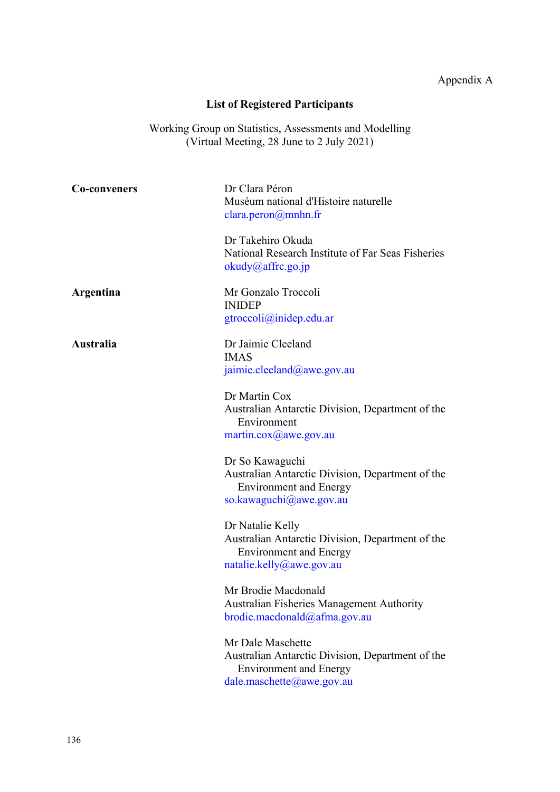# Appendix A

# **List of Registered Participants**

Working Group on Statistics, Assessments and Modelling (Virtual Meeting, 28 June to 2 July 2021)

<span id="page-15-0"></span>

| <b>Co-conveners</b> | Dr Clara Péron                                                                    |
|---------------------|-----------------------------------------------------------------------------------|
|                     | Muséum national d'Histoire naturelle                                              |
|                     | $\text{clara.peron}\xspace(\omega\text{mnhn.fr})$                                 |
|                     | Dr Takehiro Okuda                                                                 |
|                     | National Research Institute of Far Seas Fisheries                                 |
|                     | okudy@affrc.go.jp                                                                 |
| Argentina           | Mr Gonzalo Troccoli                                                               |
|                     | <b>INIDEP</b>                                                                     |
|                     | gtroccoli@inidep.edu.ar                                                           |
| Australia           | Dr Jaimie Cleeland                                                                |
|                     | <b>IMAS</b>                                                                       |
|                     | jaimie.cleeland@awe.gov.au                                                        |
|                     | Dr Martin Cox                                                                     |
|                     | Australian Antarctic Division, Department of the                                  |
|                     | Environment                                                                       |
|                     | martin.cox@awe.gov.au                                                             |
|                     | Dr So Kawaguchi                                                                   |
|                     | Australian Antarctic Division, Department of the                                  |
|                     | <b>Environment and Energy</b>                                                     |
|                     | so.kawaguchi@awe.gov.au                                                           |
|                     | Dr Natalie Kelly                                                                  |
|                     | Australian Antarctic Division, Department of the                                  |
|                     | <b>Environment and Energy</b>                                                     |
|                     | natalie.kelly@awe.gov.au                                                          |
|                     | Mr Brodie Macdonald                                                               |
|                     | <b>Australian Fisheries Management Authority</b>                                  |
|                     | brodie.macdonald@afma.gov.au                                                      |
|                     | Mr Dale Maschette                                                                 |
|                     | Australian Antarctic Division, Department of the<br><b>Environment and Energy</b> |
|                     | dale.maschette@awe.gov.au                                                         |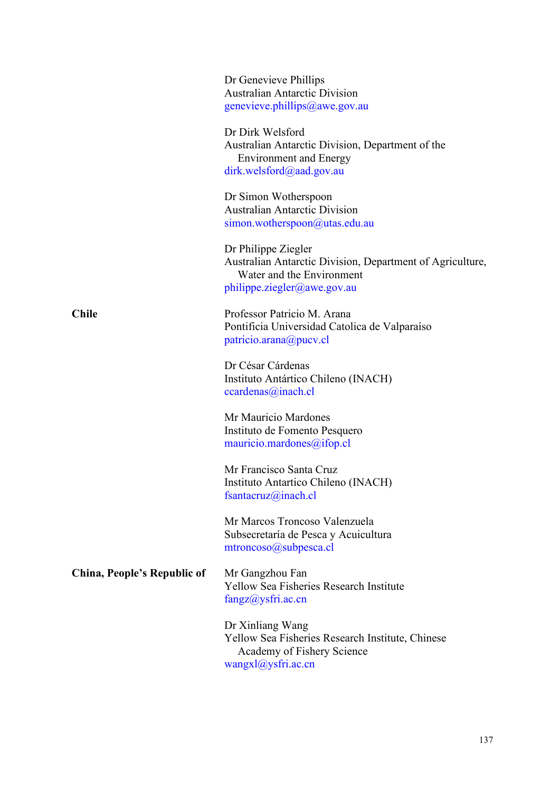|                             | Dr Genevieve Phillips<br><b>Australian Antarctic Division</b><br>genevieve.phillips@awe.gov.au                                                    |
|-----------------------------|---------------------------------------------------------------------------------------------------------------------------------------------------|
|                             | Dr Dirk Welsford<br>Australian Antarctic Division, Department of the<br><b>Environment and Energy</b><br>dirk.welsford@aad.gov.au                 |
|                             | Dr Simon Wotherspoon<br><b>Australian Antarctic Division</b><br>simon. wotherspoon@utas.edu.au                                                    |
|                             | Dr Philippe Ziegler<br>Australian Antarctic Division, Department of Agriculture,<br>Water and the Environment<br>$philippe. \nziegler@awe.gov.au$ |
| <b>Chile</b>                | Professor Patricio M. Arana<br>Pontificia Universidad Catolica de Valparaíso<br>patricio.arana@pucv.cl                                            |
|                             | Dr César Cárdenas<br>Instituto Antártico Chileno (INACH)<br>ccardenas@inach.cl                                                                    |
|                             | Mr Mauricio Mardones<br>Instituto de Fomento Pesquero<br>mauricio.mardones@ifop.cl                                                                |
|                             | Mr Francisco Santa Cruz<br>Instituto Antartico Chileno (INACH)<br>fsantacruz@inach.cl                                                             |
|                             | Mr Marcos Troncoso Valenzuela<br>Subsecretaría de Pesca y Acuicultura<br>$mtroncos0(a)subpesca.cl$                                                |
| China, People's Republic of | Mr Gangzhou Fan<br><b>Yellow Sea Fisheries Research Institute</b><br>fangz@ysfri.ac.cn                                                            |
|                             | Dr Xinliang Wang<br>Yellow Sea Fisheries Research Institute, Chinese<br>Academy of Fishery Science<br>wangx1@ysfri.ac.cn                          |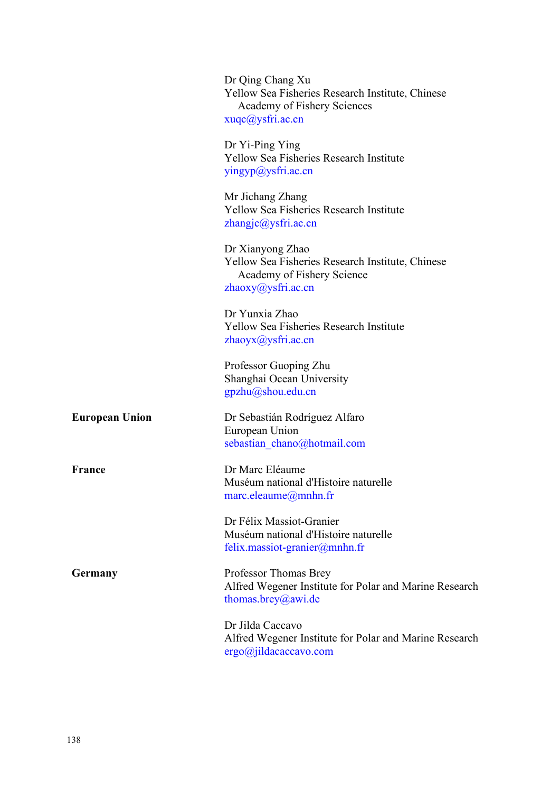|                       | Dr Qing Chang Xu<br>Yellow Sea Fisheries Research Institute, Chinese<br>Academy of Fishery Sciences<br>xuqc@ysfri.ac.cn  |
|-----------------------|--------------------------------------------------------------------------------------------------------------------------|
|                       | Dr Yi-Ping Ying<br><b>Yellow Sea Fisheries Research Institute</b><br>yingyp@ysfri.ac.cn                                  |
|                       | Mr Jichang Zhang<br><b>Yellow Sea Fisheries Research Institute</b><br>$z$ hangjc $@$ ysfri.ac.cn                         |
|                       | Dr Xianyong Zhao<br>Yellow Sea Fisheries Research Institute, Chinese<br>Academy of Fishery Science<br>zhaoxy@ysfri.ac.cn |
|                       | Dr Yunxia Zhao<br><b>Yellow Sea Fisheries Research Institute</b><br>zhaoyx@ysfri.ac.cn                                   |
|                       | Professor Guoping Zhu<br>Shanghai Ocean University<br>gpzhu@shou.edu.cn                                                  |
| <b>European Union</b> | Dr Sebastián Rodríguez Alfaro<br>European Union<br>sebastian chano@hotmail.com                                           |
| France                | Dr Marc Eléaume<br>Muséum national d'Histoire naturelle<br>$\text{marc.}$ eleaume $\textcircled{a}$ mnhn.fr              |
|                       | Dr Félix Massiot-Granier<br>Muséum national d'Histoire naturelle<br>felix.massiot-granier@mnhn.fr                        |
| Germany               | Professor Thomas Brey<br>Alfred Wegener Institute for Polar and Marine Research<br>thomas.brey@awi.de                    |
|                       | Dr Jilda Caccavo<br>Alfred Wegener Institute for Polar and Marine Research<br>$ergo$ @jildacaccavo.com                   |
|                       |                                                                                                                          |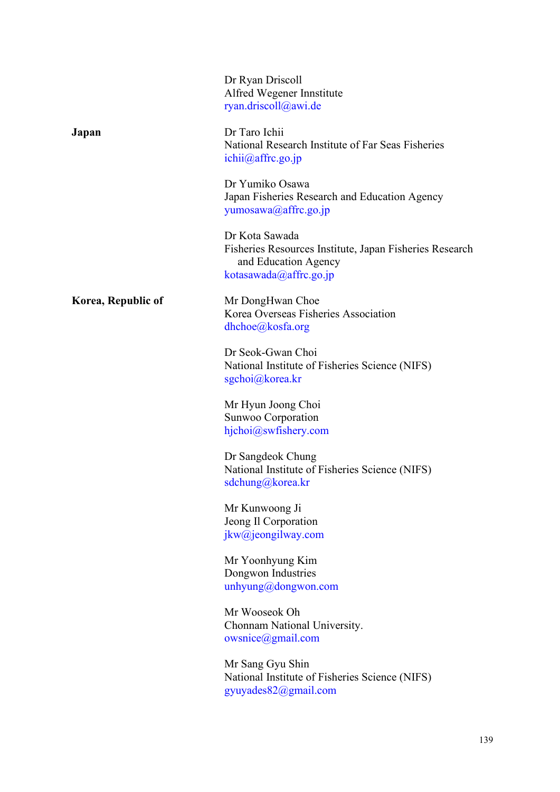|                    | Dr Ryan Driscoll<br>Alfred Wegener Innstitute<br>ryan.driscoll@awi.de                                                       |
|--------------------|-----------------------------------------------------------------------------------------------------------------------------|
| Japan              | Dr Taro Ichii<br>National Research Institute of Far Seas Fisheries<br>ichii@affrc.go.jp                                     |
|                    | Dr Yumiko Osawa<br>Japan Fisheries Research and Education Agency<br>yumosawa@affrc.go.jp                                    |
|                    | Dr Kota Sawada<br>Fisheries Resources Institute, Japan Fisheries Research<br>and Education Agency<br>kotasawada@affrc.go.jp |
| Korea, Republic of | Mr DongHwan Choe<br>Korea Overseas Fisheries Association<br>$d$ hchoe $@$ kosfa.org                                         |
|                    | Dr Seok-Gwan Choi<br>National Institute of Fisheries Science (NIFS)<br>sgchoi@korea.kr                                      |
|                    | Mr Hyun Joong Choi<br>Sunwoo Corporation<br>hjchoi@swfishery.com                                                            |
|                    | Dr Sangdeok Chung<br>National Institute of Fisheries Science (NIFS)<br>sdchung@korea.kr                                     |
|                    | Mr Kunwoong Ji<br>Jeong Il Corporation<br>jkw@jeongilway.com                                                                |
|                    | Mr Yoonhyung Kim<br>Dongwon Industries<br>unhyung@dongwon.com                                                               |
|                    | Mr Wooseok Oh<br>Chonnam National University.<br>owsnice( <i>a</i> ) <sub>g</sub> mail.com                                  |
|                    | Mr Sang Gyu Shin<br>National Institute of Fisheries Science (NIFS)<br>gyuyades82@gmail.com                                  |
|                    |                                                                                                                             |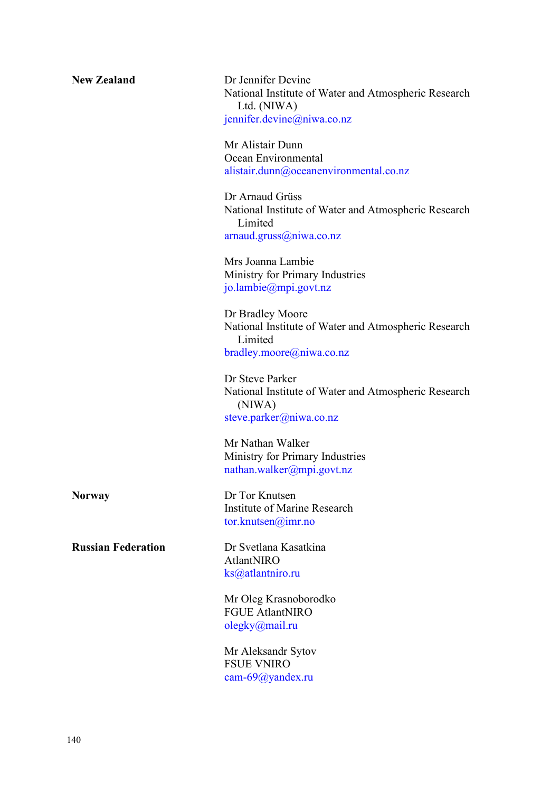| <b>New Zealand</b> |  |
|--------------------|--|
|--------------------|--|

**Dr Jennifer Devine** National Institute of Water and Atmospheric Research Ltd. (NIWA) [jennifer.devine@niwa.co.nz](mailto:jennifer.devine@niwa.co.nz)

Mr Alistair Dunn Ocean Environmental [alistair.dunn@oceanenvironmental.co.nz](mailto:alistair.dunn@oceanenvironmental.co.nz)

Dr Arnaud Grüss National Institute of Water and Atmospheric Research Limited [arnaud.gruss@niwa.co.nz](mailto:arnaud.gruss@niwa.co.nz)

Mrs Joanna Lambie Ministry for Primary Industries [jo.lambie@mpi.govt.nz](mailto:jo.lambie@mpi.govt.nz)

Dr Bradley Moore National Institute of Water and Atmospheric Research Limited [bradley.moore@niwa.co.nz](mailto:bradley.moore@niwa.co.nz)

Dr Steve Parker National Institute of Water and Atmospheric Research (NIWA) [steve.parker@niwa.co.nz](mailto:steve.parker@niwa.co.nz)

Mr Nathan Walker Ministry for Primary Industries [nathan.walker@mpi.govt.nz](mailto:nathan.walker@mpi.govt.nz)

**Norway** Dr Tor Knutsen Institute of Marine Research [tor.knutsen@imr.no](mailto:tor.knutsen@imr.no)

**Russian Federation** Dr Svetlana Kasatkina AtlantNIRO [ks@atlantniro.ru](mailto:ks@atlantniro.ru)

> Mr Oleg Krasnoborodko FGUE AtlantNIRO [olegky@mail.ru](mailto:olegky@mail.ru)

Mr Aleksandr Sytov FSUE VNIRO [cam-69@yandex.ru](mailto:cam-69@yandex.ru)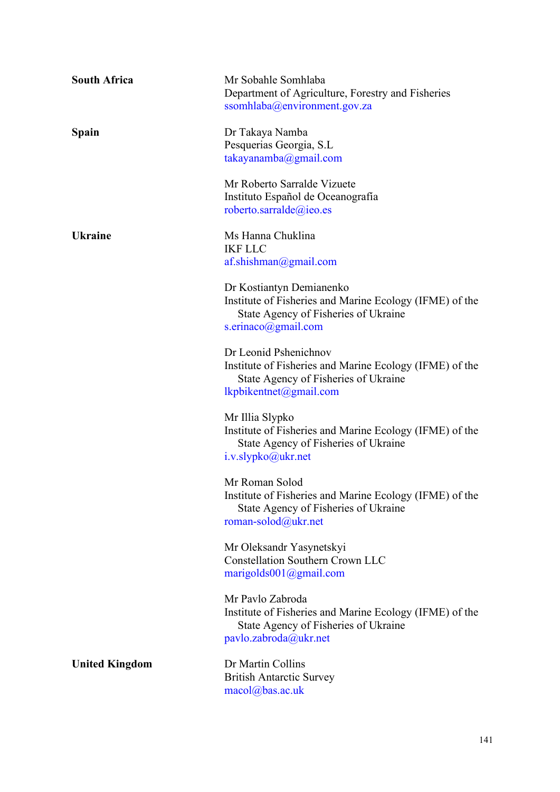| <b>South Africa</b>   | Mr Sobahle Somhlaba<br>Department of Agriculture, Forestry and Fisheries<br>ssomhlaba@environment.gov.za                                           |
|-----------------------|----------------------------------------------------------------------------------------------------------------------------------------------------|
| Spain                 | Dr Takaya Namba<br>Pesquerias Georgia, S.L<br>$takayanamba$ @gmail.com                                                                             |
|                       | Mr Roberto Sarralde Vizuete<br>Instituto Español de Oceanografía<br>roberto.sarralde@ieo.es                                                        |
| <b>Ukraine</b>        | Ms Hanna Chuklina<br><b>IKF LLC</b><br>af. shishman@gmail.com                                                                                      |
|                       | Dr Kostiantyn Demianenko<br>Institute of Fisheries and Marine Ecology (IFME) of the<br>State Agency of Fisheries of Ukraine<br>s.erinaco@gmail.com |
|                       | Dr Leonid Pshenichnov<br>Institute of Fisheries and Marine Ecology (IFME) of the<br>State Agency of Fisheries of Ukraine<br>lkpbikentnet@gmail.com |
|                       | Mr Illia Slypko<br>Institute of Fisheries and Marine Ecology (IFME) of the<br>State Agency of Fisheries of Ukraine<br>i.v.slypko@ukr.net           |
|                       | Mr Roman Solod<br>Institute of Fisheries and Marine Ecology (IFME) of the<br>State Agency of Fisheries of Ukraine<br>roman-solod@ukr.net           |
|                       | Mr Oleksandr Yasynetskyi<br><b>Constellation Southern Crown LLC</b><br>marigolds001@gmail.com                                                      |
|                       | Mr Pavlo Zabroda<br>Institute of Fisheries and Marine Ecology (IFME) of the<br>State Agency of Fisheries of Ukraine<br>pavlo.zabroda@ukr.net       |
| <b>United Kingdom</b> | Dr Martin Collins<br><b>British Antarctic Survey</b><br>macol@bas.ac.uk                                                                            |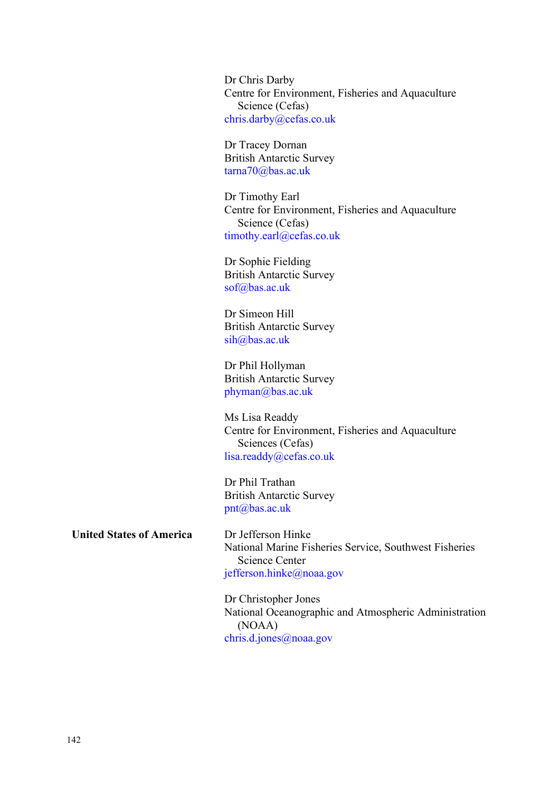Dr Chris Darby Centre for Environment, Fisheries and Aquaculture Science (Cefas) [chris.darby@cefas.co.uk](mailto:chris.darby@cefas.co.uk)

Dr Tracey Dornan British Antarctic Survey [tarna70@bas.ac.uk](mailto:tarna70@bas.ac.uk)

Dr Timothy Earl Centre for Environment, Fisheries and Aquaculture Science (Cefas) [timothy.earl@cefas.co.uk](mailto:timothy.earl@cefas.co.uk)

Dr Sophie Fielding British Antarctic Survey [sof@bas.ac.uk](mailto:sof@bas.ac.uk)

Dr Simeon Hill British Antarctic Survey [sih@bas.ac.uk](mailto:sih@bas.ac.uk)

Dr Phil Hollyman British Antarctic Survey [phyman@bas.ac.uk](mailto:phyman@bas.ac.uk)

Ms Lisa Readdy Centre for Environment, Fisheries and Aquaculture Sciences (Cefas) [lisa.readdy@cefas.co.uk](mailto:lisa.readdy@cefas.co.uk)

Dr Phil Trathan British Antarctic Survey [pnt@bas.ac.uk](mailto:pnt@bas.ac.uk)

**United States of America** Dr Jefferson Hinke

National Marine Fisheries Service, Southwest Fisheries Science Center [jefferson.hinke@noaa.gov](mailto:jefferson.hinke@noaa.gov)

Dr Christopher Jones National Oceanographic and Atmospheric Administration (NOAA) [chris.d.jones@noaa.gov](mailto:chris.d.jones@noaa.gov)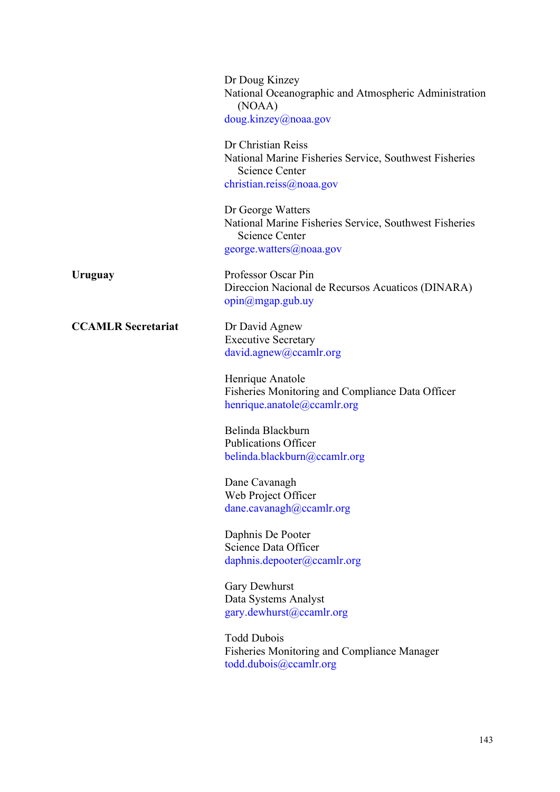|                           | Dr Doug Kinzey<br>National Oceanographic and Atmospheric Administration<br>(NOAA)<br>doug.kinzey@noaa.gov                       |
|---------------------------|---------------------------------------------------------------------------------------------------------------------------------|
|                           | Dr Christian Reiss<br>National Marine Fisheries Service, Southwest Fisheries<br>Science Center<br>christian.reiss@noaa.gov      |
|                           | Dr George Watters<br>National Marine Fisheries Service, Southwest Fisheries<br><b>Science Center</b><br>george.watters@noaa.gov |
| Uruguay                   | Professor Oscar Pin<br>Direccion Nacional de Recursos Acuaticos (DINARA)<br>$opin(\omega)$ mgap.gub.uy                          |
| <b>CCAMLR Secretariat</b> | Dr David Agnew<br><b>Executive Secretary</b><br>david.agnew@ccamlr.org                                                          |
|                           | Henrique Anatole<br>Fisheries Monitoring and Compliance Data Officer<br>henrique.anatole@ccamlr.org                             |
|                           | Belinda Blackburn<br><b>Publications Officer</b><br>belinda.blackburn@ccamlr.org                                                |
|                           | Dane Cavanagh<br>Web Project Officer<br>dane.cavanagh@ccamlr.org                                                                |
|                           | Daphnis De Pooter<br>Science Data Officer<br>daphnis.depooter@ccamlr.org                                                        |
|                           | Gary Dewhurst<br>Data Systems Analyst<br>gary.dewhurst@ccamlr.org                                                               |
|                           | <b>Todd Dubois</b><br><b>Fisheries Monitoring and Compliance Manager</b><br>todd.dubo is@ccamlr.org                             |
|                           |                                                                                                                                 |

143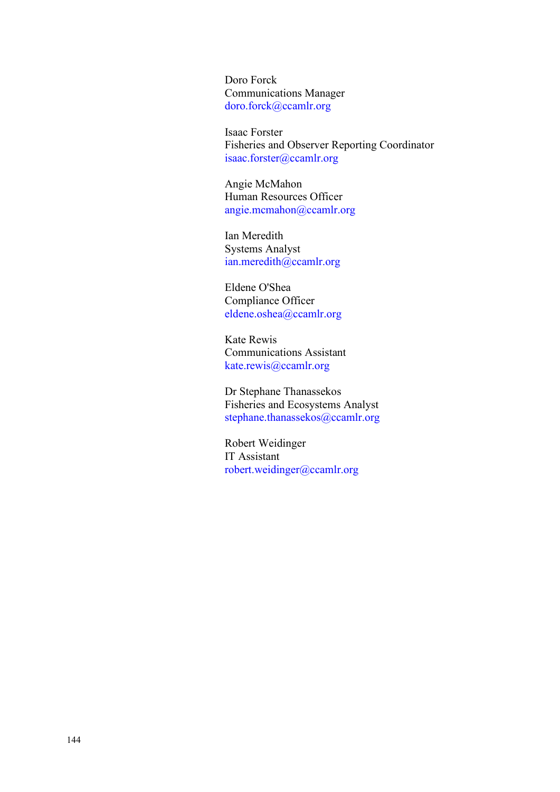Doro Forck Communications Manager [doro.forck@ccamlr.org](mailto:doro.forck@ccamlr.org)

Isaac Forster Fisheries and Observer Reporting Coordinator [isaac.forster@ccamlr.org](mailto:isaac.forster@ccamlr.org)

Angie McMahon Human Resources Officer [angie.mcmahon@ccamlr.org](mailto:angie.mcmahon@ccamlr.org)

Ian Meredith Systems Analyst [ian.meredith@ccamlr.org](mailto:ian.meredith@ccamlr.org)

Eldene O'Shea Compliance Officer [eldene.oshea@ccamlr.org](mailto:eldene.oshea@ccamlr.org)

Kate Rewis Communications Assistant [kate.rewis@ccamlr.org](mailto:kate.rewis@ccamlr.org)

Dr Stephane Thanassekos Fisheries and Ecosystems Analyst [stephane.thanassekos@ccamlr.org](mailto:stephane.thanassekos@ccamlr.org)

Robert Weidinger IT Assistant [robert.weidinger@ccamlr.org](mailto:robert.weidinger@ccamlr.org)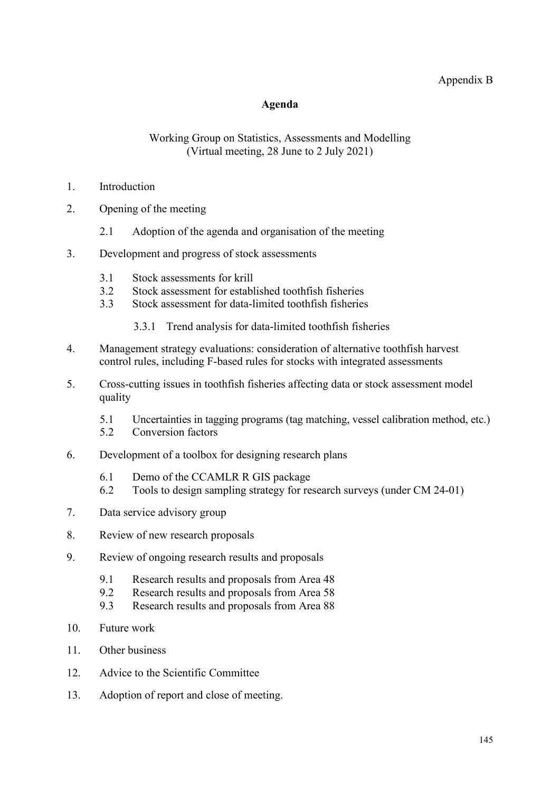#### Appendix B

#### **Agenda**

#### Working Group on Statistics, Assessments and Modelling (Virtual meeting, 28 June to 2 July 2021)

- <span id="page-24-0"></span>1. Introduction
- 2. Opening of the meeting
	- 2.1 Adoption of the agenda and organisation of the meeting
- 3. Development and progress of stock assessments
	- 3.1 Stock assessments for krill
	- 3.2 Stock assessment for established toothfish fisheries<br>3.3 Stock assessment for data-limited toothfish fisheries
	- Stock assessment for data-limited toothfish fisheries
		- 3.3.1 Trend analysis for data-limited toothfish fisheries
- 4. Management strategy evaluations: consideration of alternative toothfish harvest control rules, including F-based rules for stocks with integrated assessments
- 5. Cross-cutting issues in toothfish fisheries affecting data or stock assessment model quality
	- 5.1 Uncertainties in tagging programs (tag matching, vessel calibration method, etc.)<br>5.2 Conversion factors
	- Conversion factors
- 6. Development of a toolbox for designing research plans
	- 6.1 Demo of the CCAMLR R GIS package<br>6.2 Tools to design sampling strategy for re
	- Tools to design sampling strategy for research surveys (under CM 24-01)
- 7. Data service advisory group
- 8. Review of new research proposals
- 9. Review of ongoing research results and proposals
	- 9.1 Research results and proposals from Area 48
	- 9.2 Research results and proposals from Area 58
	- 9.3 Research results and proposals from Area 88
- 10. Future work
- 11. Other business
- 12. Advice to the Scientific Committee
- 13. Adoption of report and close of meeting.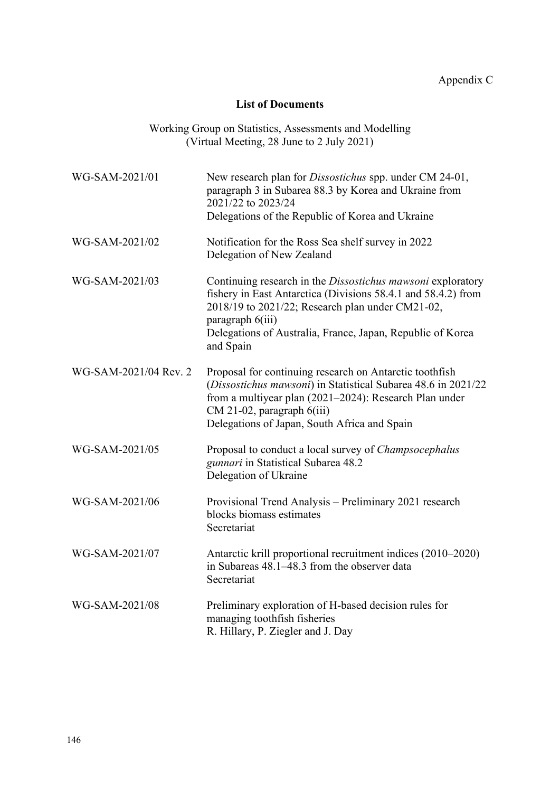#### **List of Documents**

Working Group on Statistics, Assessments and Modelling (Virtual Meeting, 28 June to 2 July 2021)

<span id="page-25-0"></span>

| WG-SAM-2021/01        | New research plan for <i>Dissostichus</i> spp. under CM 24-01,<br>paragraph 3 in Subarea 88.3 by Korea and Ukraine from<br>2021/22 to 2023/24<br>Delegations of the Republic of Korea and Ukraine                                                                               |
|-----------------------|---------------------------------------------------------------------------------------------------------------------------------------------------------------------------------------------------------------------------------------------------------------------------------|
| WG-SAM-2021/02        | Notification for the Ross Sea shelf survey in 2022<br>Delegation of New Zealand                                                                                                                                                                                                 |
| WG-SAM-2021/03        | Continuing research in the Dissostichus mawsoni exploratory<br>fishery in East Antarctica (Divisions 58.4.1 and 58.4.2) from<br>2018/19 to 2021/22; Research plan under CM21-02,<br>paragraph 6(iii)<br>Delegations of Australia, France, Japan, Republic of Korea<br>and Spain |
| WG-SAM-2021/04 Rev. 2 | Proposal for continuing research on Antarctic toothfish<br>(Dissostichus mawsoni) in Statistical Subarea 48.6 in 2021/22<br>from a multiyear plan (2021-2024): Research Plan under<br>$CM$ 21-02, paragraph $6(iii)$<br>Delegations of Japan, South Africa and Spain            |
| WG-SAM-2021/05        | Proposal to conduct a local survey of <i>Champsocephalus</i><br>gunnari in Statistical Subarea 48.2<br>Delegation of Ukraine                                                                                                                                                    |
| WG-SAM-2021/06        | Provisional Trend Analysis - Preliminary 2021 research<br>blocks biomass estimates<br>Secretariat                                                                                                                                                                               |
| WG-SAM-2021/07        | Antarctic krill proportional recruitment indices (2010-2020)<br>in Subareas 48.1–48.3 from the observer data<br>Secretariat                                                                                                                                                     |
| WG-SAM-2021/08        | Preliminary exploration of H-based decision rules for<br>managing toothfish fisheries<br>R. Hillary, P. Ziegler and J. Day                                                                                                                                                      |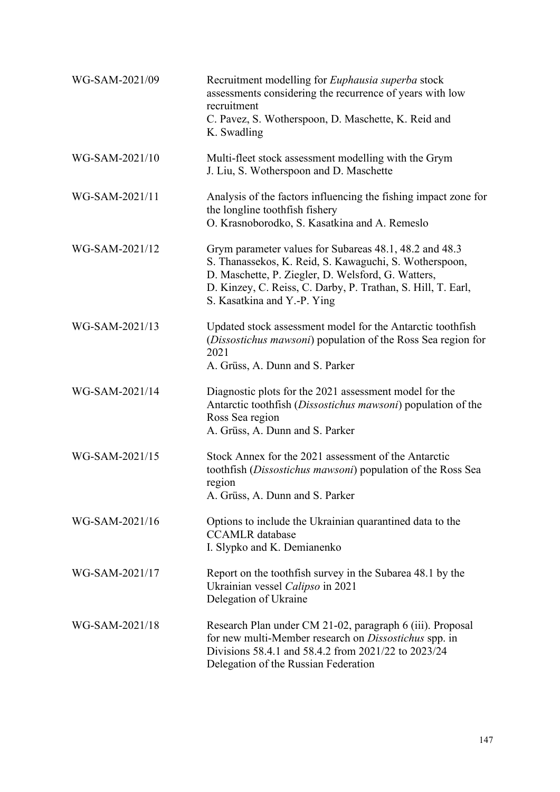| WG-SAM-2021/09 | Recruitment modelling for <i>Euphausia superba</i> stock<br>assessments considering the recurrence of years with low<br>recruitment<br>C. Pavez, S. Wotherspoon, D. Maschette, K. Reid and<br>K. Swadling                                                             |
|----------------|-----------------------------------------------------------------------------------------------------------------------------------------------------------------------------------------------------------------------------------------------------------------------|
| WG-SAM-2021/10 | Multi-fleet stock assessment modelling with the Grym<br>J. Liu, S. Wotherspoon and D. Maschette                                                                                                                                                                       |
| WG-SAM-2021/11 | Analysis of the factors influencing the fishing impact zone for<br>the longline toothfish fishery<br>O. Krasnoborodko, S. Kasatkina and A. Remeslo                                                                                                                    |
| WG-SAM-2021/12 | Grym parameter values for Subareas 48.1, 48.2 and 48.3<br>S. Thanassekos, K. Reid, S. Kawaguchi, S. Wotherspoon,<br>D. Maschette, P. Ziegler, D. Welsford, G. Watters,<br>D. Kinzey, C. Reiss, C. Darby, P. Trathan, S. Hill, T. Earl,<br>S. Kasatkina and Y.-P. Ying |
| WG-SAM-2021/13 | Updated stock assessment model for the Antarctic toothfish<br>(Dissostichus mawsoni) population of the Ross Sea region for<br>2021<br>A. Grüss, A. Dunn and S. Parker                                                                                                 |
| WG-SAM-2021/14 | Diagnostic plots for the 2021 assessment model for the<br>Antarctic toothfish (Dissostichus mawsoni) population of the<br>Ross Sea region<br>A. Grüss, A. Dunn and S. Parker                                                                                          |
| WG-SAM-2021/15 | Stock Annex for the 2021 assessment of the Antarctic<br>toothfish (Dissostichus mawsoni) population of the Ross Sea<br>region<br>A. Grüss, A. Dunn and S. Parker                                                                                                      |
| WG-SAM-2021/16 | Options to include the Ukrainian quarantined data to the<br><b>CCAMLR</b> database<br>I. Slypko and K. Demianenko                                                                                                                                                     |
| WG-SAM-2021/17 | Report on the toothfish survey in the Subarea 48.1 by the<br>Ukrainian vessel Calipso in 2021<br>Delegation of Ukraine                                                                                                                                                |
| WG-SAM-2021/18 | Research Plan under CM 21-02, paragraph 6 (iii). Proposal<br>for new multi-Member research on <i>Dissostichus</i> spp. in<br>Divisions 58.4.1 and 58.4.2 from 2021/22 to 2023/24<br>Delegation of the Russian Federation                                              |